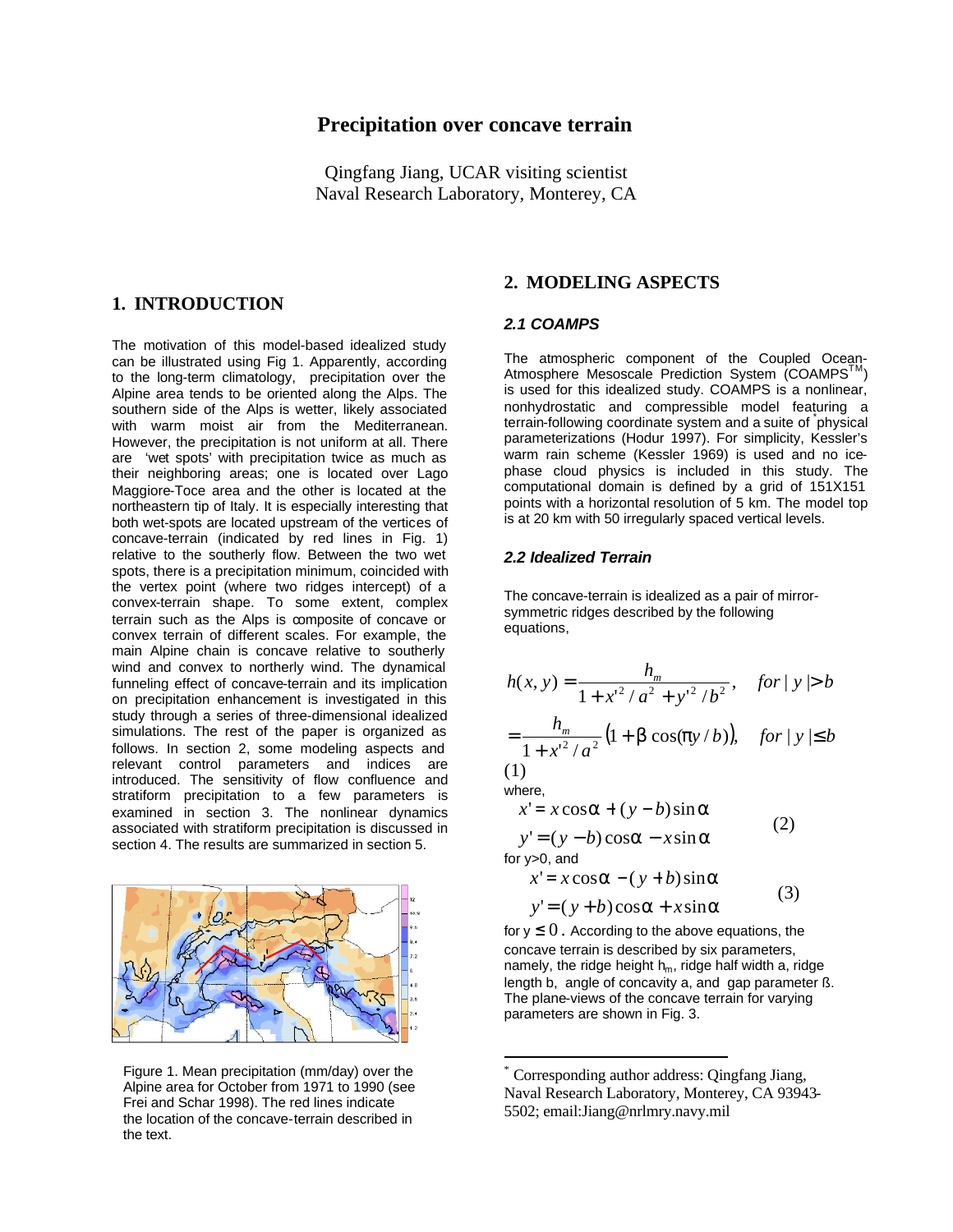## **Precipitation over concave terrain**

Qingfang Jiang, UCAR visiting scientist Naval Research Laboratory, Monterey, CA

## **1. INTRODUCTION**

The motivation of this model-based idealized study can be illustrated using Fig 1. Apparently, according to the long-term climatology, precipitation over the Alpine area tends to be oriented along the Alps. The southern side of the Alps is wetter, likely associated with warm moist air from the Mediterranean. However, the precipitation is not uniform at all. There are 'wet spots' with precipitation twice as much as their neighboring areas; one is located over Lago Maggiore-Toce area and the other is located at the northeastern tip of Italy. It is especially interesting that both wet-spots are located upstream of the vertices of concave-terrain (indicated by red lines in Fig. 1) relative to the southerly flow. Between the two wet spots, there is a precipitation minimum, coincided with the vertex point (where two ridges intercept) of a convex-terrain shape. To some extent, complex terrain such as the Alps is composite of concave or convex terrain of different scales. For example, the main Alpine chain is concave relative to southerly wind and convex to northerly wind. The dynamical funneling effect of concave-terrain and its implication on precipitation enhancement is investigated in this study through a series of three-dimensional idealized simulations. The rest of the paper is organized as follows. In section 2, some modeling aspects and relevant control parameters and indices are introduced. The sensitivity of flow confluence and stratiform precipitation to a few parameters is examined in section 3. The nonlinear dynamics associated with stratiform precipitation is discussed in section 4. The results are summarized in section 5.



Figure 1. Mean precipitation (mm/day) over the Alpine area for October from 1971 to 1990 (see Frei and Schar 1998). The red lines indicate the location of the concave-terrain described in the text.

### **2. MODELING ASPECTS**

#### *2.1 COAMPS*

The atmospheric component of the Coupled Ocean-Atmosphere Mesoscale Prediction System (COAMPS<sup>IM</sup>) is used for this idealized study. COAMPS is a nonlinear, nonhydrostatic and compressible model featuring a terrain-following coordinate system and a suite of physical parameterizations (Hodur 1997). For simplicity, Kessler's warm rain scheme (Kessler 1969) is used and no icephase cloud physics is included in this study. The computational domain is defined by a grid of 151X151 points with a horizontal resolution of 5 km. The model top is at 20 km with 50 irregularly spaced vertical levels.

#### *2.2 Idealized Terrain*

The concave-terrain is idealized as a pair of mirrorsymmetric ridges described by the following equations,

$$
h(x, y) = \frac{h_m}{1 + x'^2 / a^2 + y'^2 / b^2}, \quad \text{for } |y| > b
$$

$$
= \frac{n_m}{1 + x'^2 / a^2} (1 + b \cos(\frac{py}{b})), \quad \text{for } |y| \le b
$$

$$
\begin{array}{c}\n \left( 1 \right) \\
\text{where}\n \end{array}
$$

 $\overline{a}$ 

$$
x'=x\cos a + (y-b)\sin a \tag{2}
$$

$$
y' = (y - b)\cos a - x\sin a
$$

for y>0, and

$$
x'=x\cos a - (y+b)\sin a
$$
  

$$
y'=(y+b)\cos a + x\sin a
$$
 (3)

for  $y \leq 0$ . According to the above equations, the concave terrain is described by six parameters, namely, the ridge height  $h_m$ , ridge half width a, ridge length b, angle of concavity a, and gap parameter ß. The plane-views of the concave terrain for varying parameters are shown in Fig. 3.

<sup>\*</sup> Corresponding author address: Qingfang Jiang, Naval Research Laboratory, Monterey, CA 93943- 5502; email:Jiang@nrlmry.navy.mil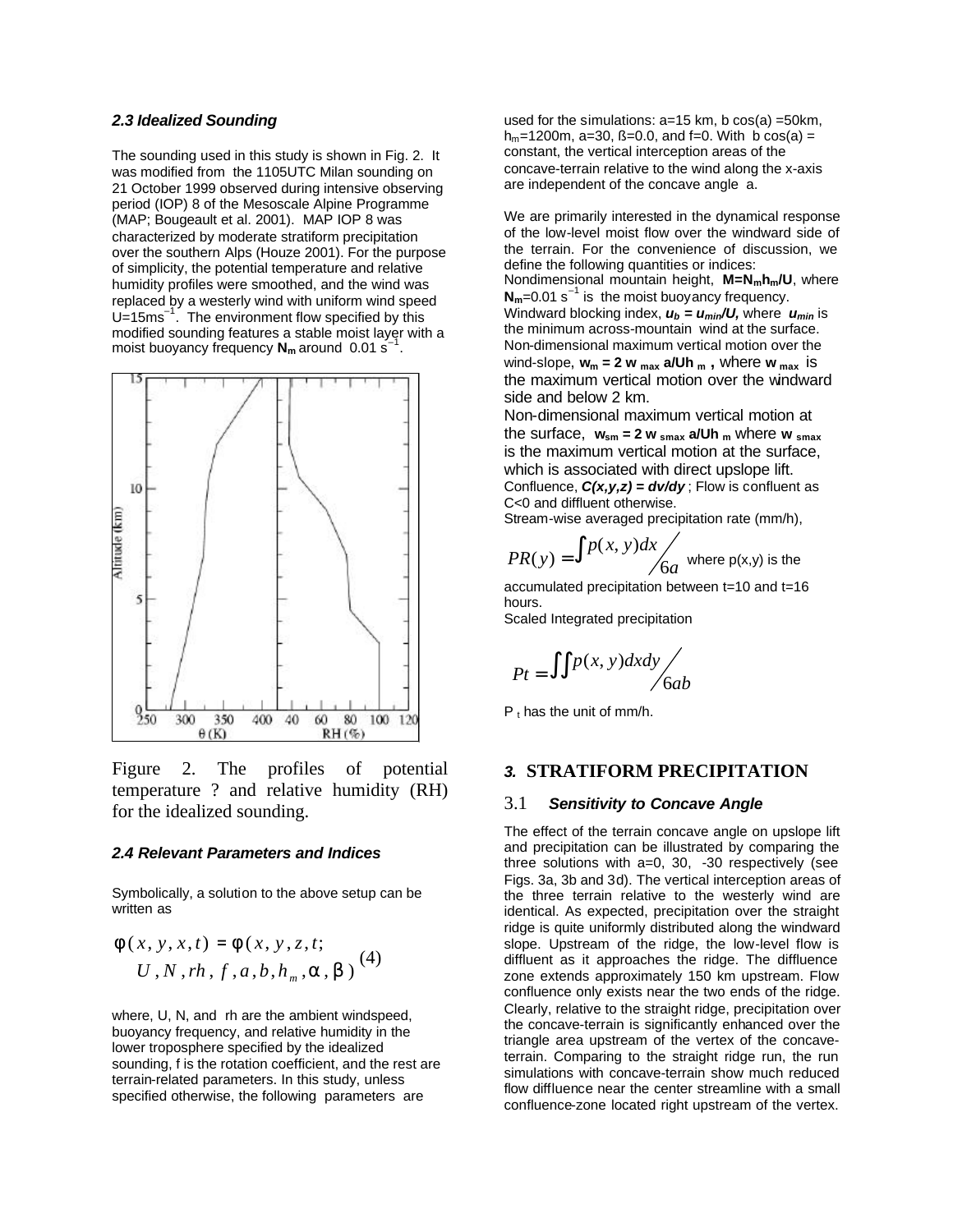#### *2.3 Idealized Sounding*

The sounding used in this study is shown in Fig. 2. It was modified from the 1105UTC Milan sounding on 21 October 1999 observed during intensive observing period (IOP) 8 of the Mesoscale Alpine Programme (MAP; Bougeault et al. 2001). MAP IOP 8 was characterized by moderate stratiform precipitation over the southern Alps (Houze 2001). For the purpose of simplicity, the potential temperature and relative humidity profiles were smoothed, and the wind was replaced by a westerly wind with uniform wind speed  $U=15$ ms<sup>-1</sup>. The environment flow specified by this modified sounding features a stable moist layer with a moist buoyancy frequency **Nm** around 0.01 s–1 .



Figure 2. The profiles of potential temperature ? and relative humidity (RH) for the idealized sounding.

#### *2.4 Relevant Parameters and Indices*

Symbolically, a solution to the above setup can be written as

$$
f(x, y, x, t) = f(x, y, z, t; U, N, rh, f, a, b, h_m, a, b)
$$
 (4)

where, U, N, and rh are the ambient windspeed. buoyancy frequency, and relative humidity in the lower troposphere specified by the idealized sounding, f is the rotation coefficient, and the rest are terrain-related parameters. In this study, unless specified otherwise, the following parameters are

used for the simulations:  $a=15$  km, b  $cos(a) = 50$ km,  $h_m$ =1200m, a=30, ß=0.0, and f=0. With b cos(a) = constant, the vertical interception areas of the concave-terrain relative to the wind along the x-axis are independent of the concave angle a.

We are primarily interested in the dynamical response of the low-level moist flow over the windward side of the terrain. For the convenience of discussion, we define the following quantities or indices: Nondimensional mountain height, **M=Nmhm/U**, where

 $N_m$ =0.01 s<sup>-1</sup> is the moist buoyancy frequency. Windward blocking index, *ub = umin/U,* where *umin* is the minimum across-mountain wind at the surface. Non-dimensional maximum vertical motion over the wind-slope, **wm = 2 w max a/Uh m ,** where **w max** is the maximum vertical motion over the windward side and below 2 km.

Non-dimensional maximum vertical motion at the surface,  $w_{sm} = 2 w_{smax}$  a/Uh  $_m$  where  $w_{smax}$ is the maximum vertical motion at the surface, which is associated with direct upslope lift. Confluence, *C(x,y,z) = dv/dy* ; Flow is confluent as C<0 and diffluent otherwise.

Stream-wise averaged precipitation rate (mm/h),

$$
PR(y) = \int p(x, y) dx / 6a
$$
 where p(x,y) is the

accumulated precipitation between t=10 and t=16 hours.

Scaled Integrated precipitation

$$
Pt = \iint p(x, y) dx dy / 6ab
$$

 $P_1$  has the unit of mm/h.

### *3.* **STRATIFORM PRECIPITATION**

#### 3.1 *Sensitivity to Concave Angle*

The effect of the terrain concave angle on upslope lift and precipitation can be illustrated by comparing the three solutions with a=0, 30, -30 respectively (see Figs. 3a, 3b and 3d). The vertical interception areas of the three terrain relative to the westerly wind are identical. As expected, precipitation over the straight ridge is quite uniformly distributed along the windward slope. Upstream of the ridge, the low-level flow is diffluent as it approaches the ridge. The diffluence zone extends approximately 150 km upstream. Flow confluence only exists near the two ends of the ridge. Clearly, relative to the straight ridge, precipitation over the concave-terrain is significantly enhanced over the triangle area upstream of the vertex of the concaveterrain. Comparing to the straight ridge run, the run simulations with concave-terrain show much reduced flow diffluence near the center streamline with a small confluence-zone located right upstream of the vertex.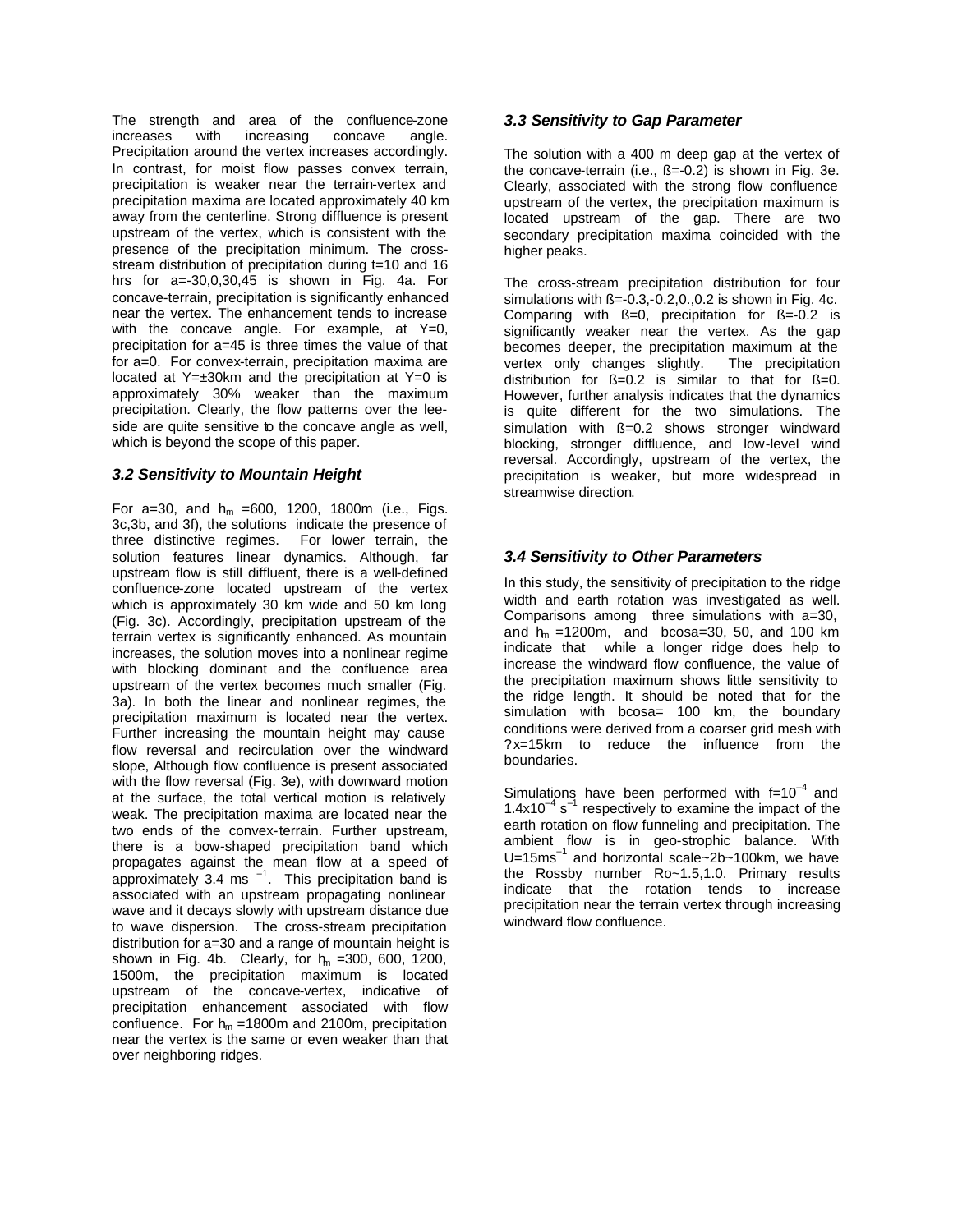The strength and area of the confluence-zone increases with increasing concave angle. Precipitation around the vertex increases accordingly. In contrast, for moist flow passes convex terrain, precipitation is weaker near the terrain-vertex and precipitation maxima are located approximately 40 km away from the centerline. Strong diffluence is present upstream of the vertex, which is consistent with the presence of the precipitation minimum. The crossstream distribution of precipitation during t=10 and 16 hrs for a=-30,0,30,45 is shown in Fig. 4a. For concave-terrain, precipitation is significantly enhanced near the vertex. The enhancement tends to increase with the concave angle. For example, at  $Y=0$ , precipitation for a=45 is three times the value of that for a=0. For convex-terrain, precipitation maxima are located at Y=±30km and the precipitation at Y=0 is approximately 30% weaker than the maximum precipitation. Clearly, the flow patterns over the leeside are quite sensitive to the concave angle as well, which is beyond the scope of this paper.

## *3.2 Sensitivity to Mountain Height*

For a=30, and  $h_m$  =600, 1200, 1800m (i.e., Figs. 3c,3b, and 3f), the solutions indicate the presence of three distinctive regimes. For lower terrain, the solution features linear dynamics. Although, far upstream flow is still diffluent, there is a well-defined confluence-zone located upstream of the vertex which is approximately 30 km wide and 50 km long (Fig. 3c). Accordingly, precipitation upstream of the terrain vertex is significantly enhanced. As mountain increases, the solution moves into a nonlinear regime with blocking dominant and the confluence area upstream of the vertex becomes much smaller (Fig. 3a). In both the linear and nonlinear regimes, the precipitation maximum is located near the vertex. Further increasing the mountain height may cause flow reversal and recirculation over the windward slope, Although flow confluence is present associated with the flow reversal (Fig. 3e), with downward motion at the surface, the total vertical motion is relatively weak. The precipitation maxima are located near the two ends of the convex-terrain. Further upstream, there is a bow-shaped precipitation band which propagates against the mean flow at a speed of approximately 3.4 ms  $^{-1}$ . This precipitation band is associated with an upstream propagating nonlinear wave and it decays slowly with upstream distance due to wave dispersion. The cross-stream precipitation distribution for a=30 and a range of mountain height is shown in Fig. 4b. Clearly, for  $h_m = 300$ , 600, 1200, 1500m, the precipitation maximum is located upstream of the concave-vertex, indicative of precipitation enhancement associated with flow confluence. For  $h_m = 1800$ m and 2100m, precipitation near the vertex is the same or even weaker than that over neighboring ridges.

## *3.3 Sensitivity to Gap Parameter*

The solution with a 400 m deep gap at the vertex of the concave-terrain (i.e.,  $\beta = -0.2$ ) is shown in Fig. 3e. Clearly, associated with the strong flow confluence upstream of the vertex, the precipitation maximum is located upstream of the gap. There are two secondary precipitation maxima coincided with the higher peaks.

The cross-stream precipitation distribution for four simulations with  $\beta = -0.3, -0.2, 0.0, 0.2$  is shown in Fig. 4c. Comparing with  $\beta=0$ , precipitation for  $\beta=-0.2$  is significantly weaker near the vertex. As the gap becomes deeper, the precipitation maximum at the vertex only changes slightly. The precipitation distribution for  $\beta = 0.2$  is similar to that for  $\beta = 0$ . However, further analysis indicates that the dynamics is quite different for the two simulations. The simulation with ß=0.2 shows stronger windward blocking, stronger diffluence, and low-level wind reversal. Accordingly, upstream of the vertex, the precipitation is weaker, but more widespread in streamwise direction.

# *3.4 Sensitivity to Other Parameters*

In this study, the sensitivity of precipitation to the ridge width and earth rotation was investigated as well. Comparisons among three simulations with a=30, and  $h_m = 1200m$ , and bcosa=30, 50, and 100 km indicate that while a longer ridge does help to increase the windward flow confluence, the value of the precipitation maximum shows little sensitivity to the ridge length. It should be noted that for the simulation with bcosa= 100 km, the boundary conditions were derived from a coarser grid mesh with ?x=15km to reduce the influence from the boundaries.

Simulations have been performed with  $f=10^{-4}$  and  $1.4x10^{-4}$  s<sup>-1</sup> respectively to examine the impact of the earth rotation on flow funneling and precipitation. The ambient flow is in geo-strophic balance. With U=15ms<sup>-1</sup> and horizontal scale~2b~100km, we have the Rossby number Ro~1.5,1.0. Primary results indicate that the rotation tends to increase precipitation near the terrain vertex through increasing windward flow confluence.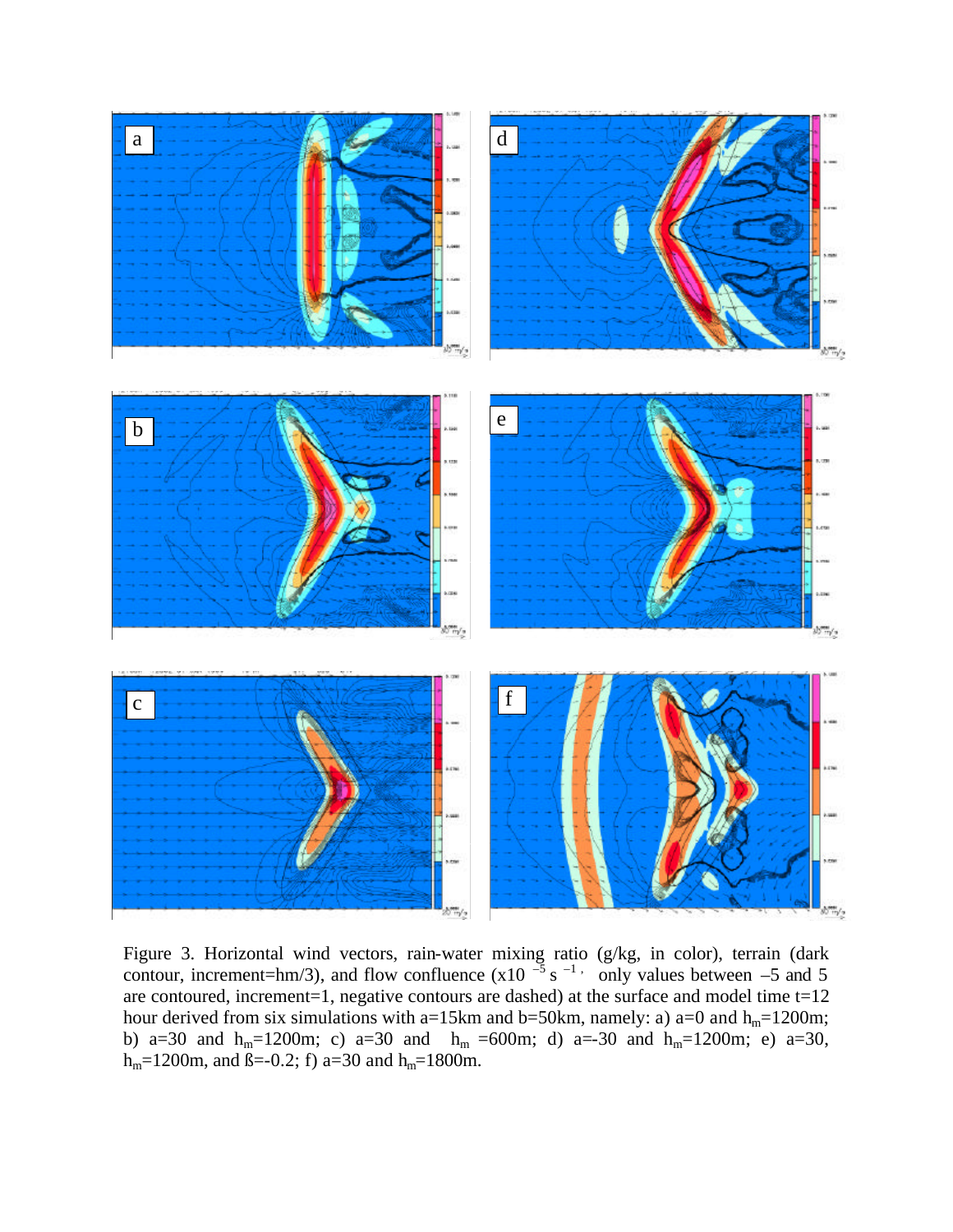

Figure 3. Horizontal wind vectors, rain-water mixing ratio (g/kg, in color), terrain (dark contour, increment=hm/3), and flow confluence  $(x10^{-5} s^{-1}$ , only values between –5 and 5 are contoured, increment=1, negative contours are dashed) at the surface and model time t=12 hour derived from six simulations with a=15km and b=50km, namely: a) a=0 and  $h_m$ =1200m; b) a=30 and h<sub>m</sub>=1200m; c) a=30 and h<sub>m</sub> =600m; d) a=-30 and h<sub>m</sub>=1200m; e) a=30,  $h_m=1200$ m, and  $\beta=-0.2$ ; f) a=30 and  $h_m=1800$ m.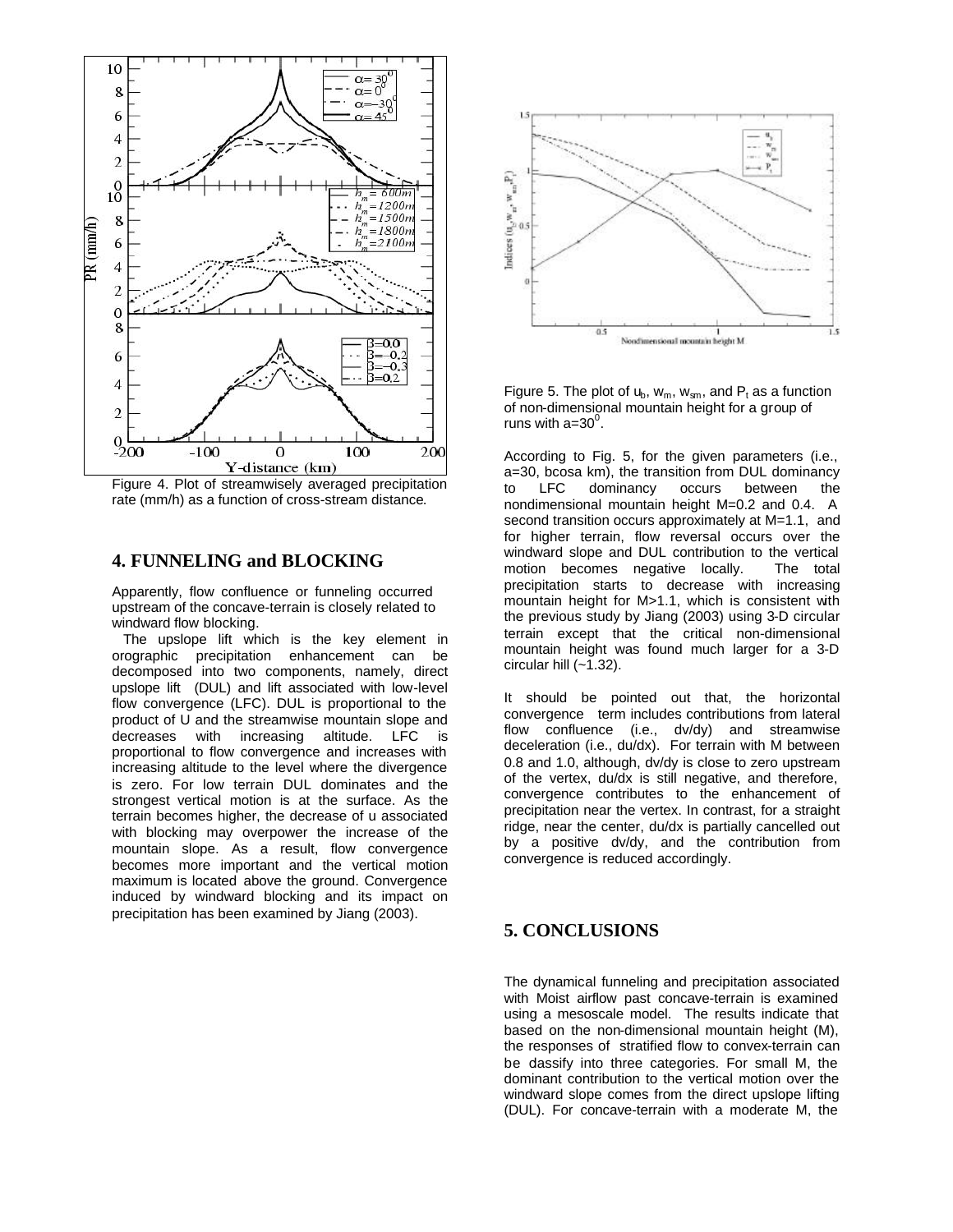

Figure 4. Plot of streamwisely averaged precipitation rate (mm/h) as a function of cross-stream distance.

## **4. FUNNELING and BLOCKING**

Apparently, flow confluence or funneling occurred upstream of the concave-terrain is closely related to windward flow blocking.

 The upslope lift which is the key element in orographic precipitation enhancement can be decomposed into two components, namely, direct upslope lift (DUL) and lift associated with low-level flow convergence (LFC). DUL is proportional to the product of U and the streamwise mountain slope and decreases with increasing altitude. LFC is proportional to flow convergence and increases with increasing altitude to the level where the divergence is zero. For low terrain DUL dominates and the strongest vertical motion is at the surface. As the terrain becomes higher, the decrease of u associated with blocking may overpower the increase of the mountain slope. As a result, flow convergence becomes more important and the vertical motion maximum is located above the ground. Convergence induced by windward blocking and its impact on precipitation has been examined by Jiang (2003).



Figure 5. The plot of  $u_b$ ,  $w_m$ ,  $w_{sm}$ , and  $P_t$  as a function of non-dimensional mountain height for a group of runs with a= $30^0$ .

According to Fig. 5, for the given parameters (i.e., a=30, bcosa km), the transition from DUL dominancy<br>to LFC dominancy occurs between the to LFC dominancy occurs between the nondimensional mountain height M=0.2 and 0.4. A second transition occurs approximately at M=1.1, and for higher terrain, flow reversal occurs over the windward slope and DUL contribution to the vertical motion becomes negative locally. The total precipitation starts to decrease with increasing mountain height for M>1.1, which is consistent with the previous study by Jiang (2003) using 3-D circular terrain except that the critical non-dimensional mountain height was found much larger for a 3-D circular hill  $(-1.32)$ .

It should be pointed out that, the horizontal convergence term includes contributions from lateral flow confluence (i.e., dv/dy) and streamwise deceleration (i.e., du/dx). For terrain with M between 0.8 and 1.0, although, dv/dy is close to zero upstream of the vertex, du/dx is still negative, and therefore, convergence contributes to the enhancement of precipitation near the vertex. In contrast, for a straight ridge, near the center, du/dx is partially cancelled out by a positive dv/dy, and the contribution from convergence is reduced accordingly.

## **5. CONCLUSIONS**

The dynamical funneling and precipitation associated with Moist airflow past concave-terrain is examined using a mesoscale model. The results indicate that based on the non-dimensional mountain height (M), the responses of stratified flow to convex-terrain can be dassify into three categories. For small M, the dominant contribution to the vertical motion over the windward slope comes from the direct upslope lifting (DUL). For concave-terrain with a moderate M, the